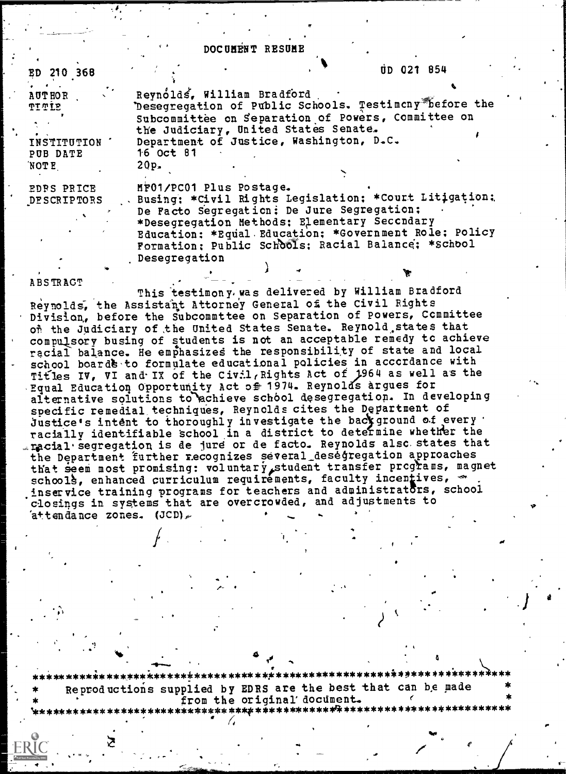### DOCUMENT RESUME

ED 210 368

tip 021 854

**AUTHOR** TITIE

INSTITUTION PUB DATE **NOTE** 

**EDRS PRICE DESCRIPTORS** 

Revnólds. William Bradford Desegregation of Public Schools. Testimony before the Subcommittee on Separation of Powers, Committee on the Judiciary, United States Senate. Department of Justice, Washington, D.C. 16 Oct 81  $20p<sub>z</sub>$ 

MF01/PC01 Plus Postage. Busing; \*Civil Rights Legislation; \*Court Litigation; De Facto Segregation; De Jure Segregation; \*Desegregation Methods: Elementary Seccndary Education: \*Equal Education: \*Government Role: Policy Formation; Public Schools; Racial Balance; \*School Desegregation

#### **ABSTRACT**

This testimony was delivered by William Bradford Reynolds, the Assistant Attorney General of the Civil Rights Division, before the Subcommttee on Separation of Powers, Committee on the Judiciary of the United States Senate. Reynold states that compulsory busing of students is not an acceptable remedy to achieve racial balance. He emphasizes the responsibility of state and local school boards to formulate educational policies in accordance with Titles IV, VI and IX of the Civil, Rights Act of 1964 as well as the Equal Education Opportunity Act of 1974. Reynolds argues for alternative solutions to achieve school desegregation. In developing specific remedial techniques, Reynolds cites the Department of Justice's intent to thoroughly investigate the background of every racially identifiable school in a district to determine whether the racial segregation is de jure or de facto. Reynolds also states that the Department further recognizes several desegregation approaches that seem most promising: voluntary student transfer programs, magnet<br>schools, enhanced curriculum requirements, faculty incentives, inservice training programs for teachers and administrators, school closings in systems that are overcrowded, and adjustments to  ${\tt \hat{a}+}\texttt{t}$  and  ${\tt \tilde{a}}$  ace  ${\tt \tilde{z}}$  and  ${\tt \tilde{c}}$  and  ${\tt \tilde{c}}$ 

Reproductions supplied by EDRS are the best that can be made from the original document.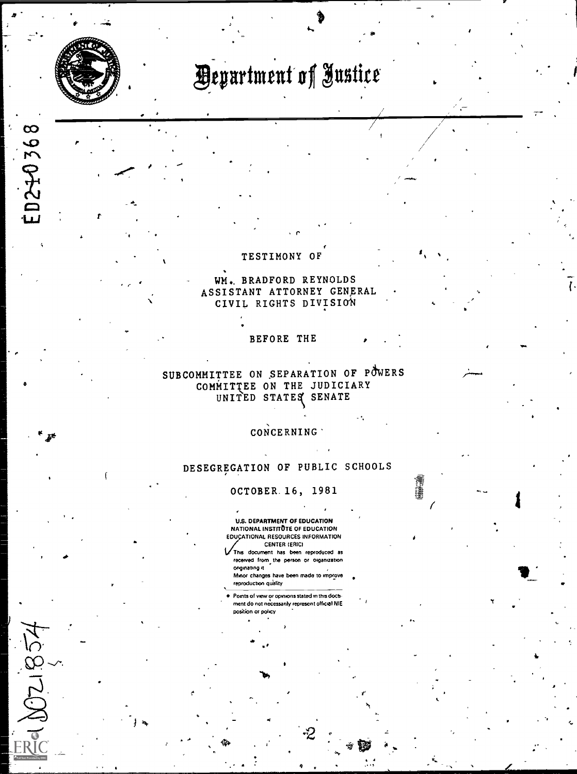

10240368

1021852

# **Department of Justice**

#### TESTIMONY OF

WM. BRADFORD REYNOLDS ASSISTANT ATTORNEY GENERAL CIVIL RIGHTS DIVISION

#### BEFORE THE

## SUBCOMMITTEE ON SEPARATION OF POWERS COMMITTEE ON THE JUDICIARY UNITED STATES SENATE

## CONCERNING

## DESEGREGATION OF PUBLIC SCHOOLS

#### OCTOBER. 16, 1981

**U.S. DEPARTMENT OF EDUCATION** NATIONAL INSTITUTE OF EDUCATION EDUCATIONAL RESOURCES INFORMATION **CENTER (ERIC)** 

This document has been reproduced as received from the person or organization onginating it. Minor changes have been made to improve

reproduction quality Points of view or opinions stated in this doctment do not necessarily represent official NIE position or policy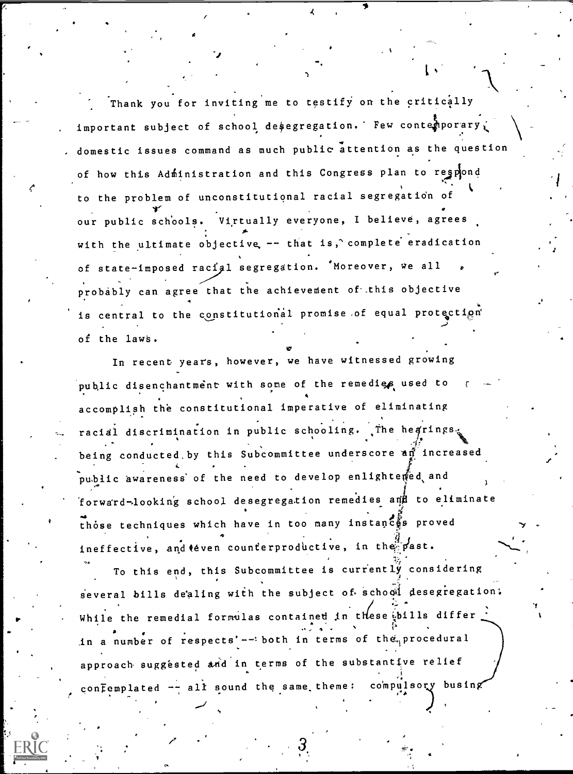Thank you for inviting me to testify on the critically important subject of school desegregation. Few contemporary domestic issues command as much public attention as the question of how this Administration and this Congress plan to regpond to the problem of unconstitutional racial segregation of our public schools. Virtually everyone, I believe, agrees with the ultimate objective -- that is, complete eradication of state-imposed racial segregation. 'Moreover, we all probably can agree that the achievement of this objective is central to the constitutional promise of equal protection of the laws.

In recent years, however, we have witnessed growing public disenchantment with some of the remedies used to accomplish the constitutional imperative of eliminating racial discrimination in public schooling. The hearings. being conducted by this Subcommittee underscore an increased public awareness of the need to develop enlightened and forward-looking school desegregation remedies and to eliminate those techniques which have in too many instances proved ineffective, and teven counterproductive, in the past.

To this end, this Subcommittee is currently considering several bills dealing with the subject of school desegregation: While the remedial formulas contained in these bills differ in a number of respects'-- both in terms of the procedural approach suggested and in terms of the substantive relief confemplated -- all sound the same theme: compulsory busing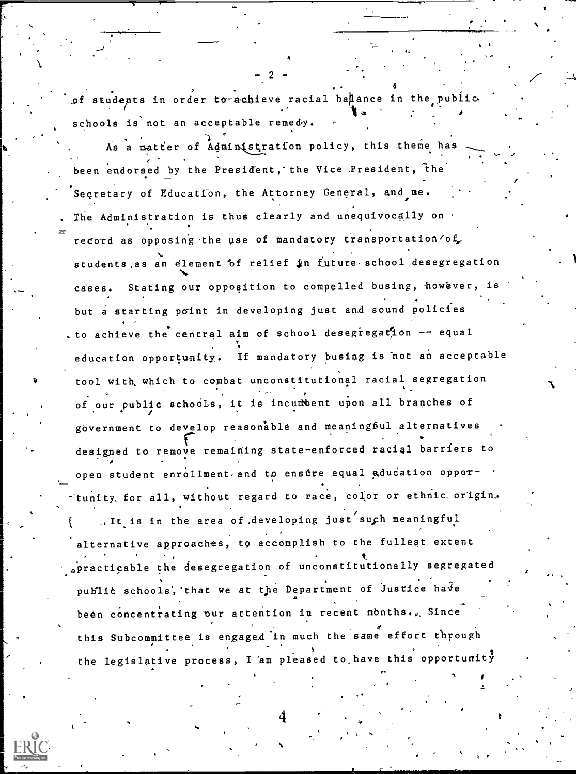of students in order to achieve racial balance in the public schools is not an acceptable remedy.

As a matter of Administration policy, this theme has been endorsed by the President, the Vice President, the Secretary of Education, the Attorney General, and me. The Administration is thus clearly and unequivocally on . record as opposing the use of mandatory transportation of students as an element of relief in future school desegregation Stating our opposition to compelled busing, however, cases. but a starting point in developing just and sound policies to achieve the central aim of school desegregation -- equal education opportunity. If mandatory busing is not an acceptable tool with which to combat unconstitutional racial segregation of our public schools, it is incumbent upon all branches of government to develop reasonable and meaningful alternatives designed to remove remaining state-enforced racial barriers to open student enrollment and to ensure equal education opportunity for all, without regard to race, color or ethnic origin. .. It is in the area of developing just such meaningful alternative approaches, to accomplish to the fullest extent practicable the desegregation of unconstitutionally segregated public schools, that we at the Department of Justice have been concentrating our attention in recent months. Since this Subcommittee is engaged in much the same effort through the legislative process, I am pleased to have this opportunity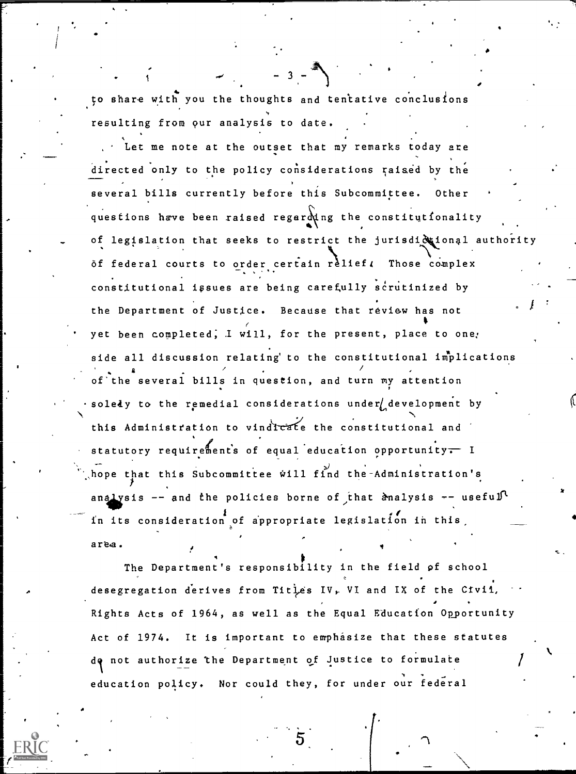to share with you the thoughts and tentative conclusions resulting from our analysis to date.

Let me note at the outset that my remarks today are directed only to the policy considerations raised by the several bills currently before this Subcommittee. Other questions have been raised regarding the constitutionality . of legislation that seeks to restrict the jurisdid ional authority of federal courts to order certain relief. Those complex constitutional issues are being carefully scrutinized by the Department of Justice. Because that review has not yet been completed; I will, for the present, place to one; side all discussion relating' to the constitutional implications II of'the several bills in question, and turn my attention soledy to the remedial considerations under development by this Administration to vindicate the constitutional and statutory requirements of equal education opportunity $\div$  I hope that this Subcommittee will find the-Administration's analysis  $-$  and the policies borne of that analysis  $-$  useful 4/ in its consideration of appropriate legislation in this area.

The Department's responsibility in the field of school desegregation derives from Titles IV, VI and IX of the Civii, Rights Acts of 1964, as well as the Equal Education Opportunity Act of 1974. It is important to emphasize that these statutes de not authorize the Department of Justice to formulate education policy. Nor could they, for under our federal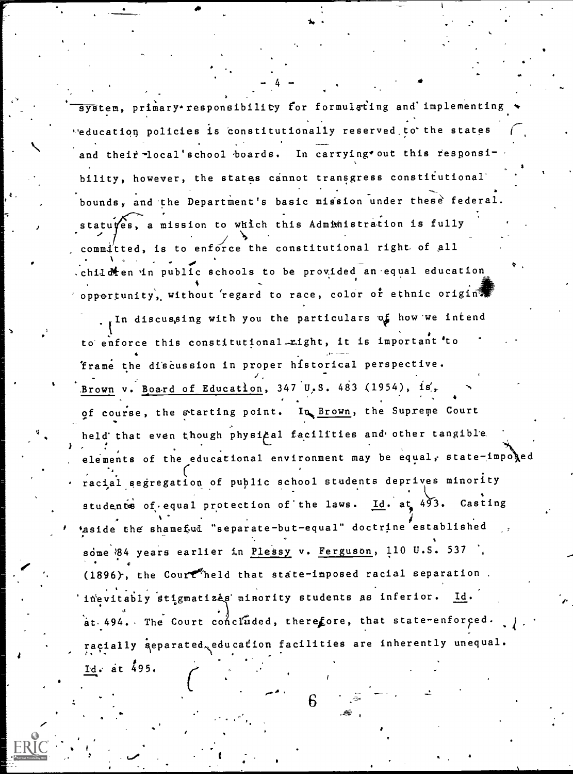system, primary responsibility for formulating and implementing 'education policies is constitutionally reserved,to\*the states and their -local'school boards. In carrying out this responsibility, however, the states cannot transgress constitutional' bounds, and the Department's basic mission under these federal. statu es, a mission to which this Administration is fully<br>
A  $\alpha$ mmitted, is to enforce the constitutional right of all  $\bullet$  . .child  $\lambda$ en in public schools to be provided an equal education opportunity, without regard to race, color or ethnic origin?

4

 $\mathbf{h}$ .

In discussing with you the particulars of how we intend to enforce this constitutional right, it is important 'to 'frame the discussion in proper historical perspective. Brown v. Board of Education, 347 U.S. 483 (1954), is, of course, the starting point. In Brown, the Supreme Court held that even though physical facilities and other tangible.  $\epsilon$  ...  $\epsilon$  . The educational environment may be equal, state-imposed racial segregation of public school students deprives minority students of equal protection of the laws. Id. at 493. Casting aside the shameful "separate-but-equal" doctrine established some 84 years earlier in Plessy v. Ferguson, 110 U.S. 537 . \* (1896), the Courtheld that state-imposed racial separation. 'inevitably stigmatizes minority students as inferior. Id. at. 494. The Court concluded, therefore, that state-enforced.  $\int$ . racially separated, education facilities are inherently unequal. Id.- at 495.

 $\begin{bmatrix} 6 \end{bmatrix}$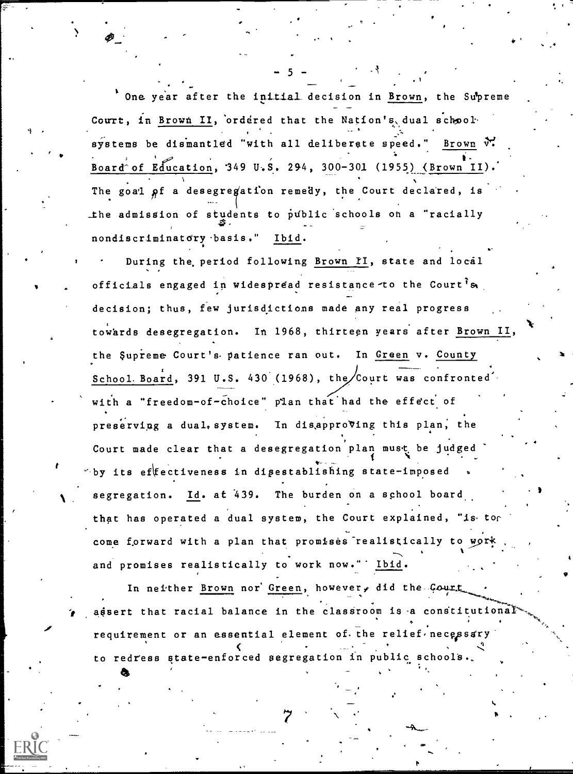One year after the initial decision in Brown, the Supreme Court, in Brown II, ordered that the Nation's dual schoolsystems be dismantled "with all deliberate speed." Brown W. Board of Education, 349 U.S. 294, 300-301 (1955) (Brown II) The goal of a desegregation remedy, the Court declared, is the admission of students to public schools on a "racially nondiscriminatory basis." Ibid.

During the period following Brown II, state and local officials engaged in widespread resistance to the Court s decision; thus, few jurisdictions made any real progress towards desegregation. In 1968, thirteen years after Brown II, the Supreme Court's patience ran out. In Green v. County School Board, 391 U.S. 430 (1968), the Court was confronted with a "freedom-of-choice" plan that had the effect of preserving a dual, system. In disapproving this plan, the Court made clear that a desegregation plan must be judged by its effectiveness in disestablishing state-imposed segregation. Id. at 439. The burden on a school board that has operated a dual system, the Court explained, "is tor come forward with a plan that promises realistically to work and promises realistically to work now." Ibid.

In neither Brown nor Green, however, did the Court assert that racial balance in the classroom is a constitutional requirement or an essential element of the relief necessary to redress state-enforced segregation in public schools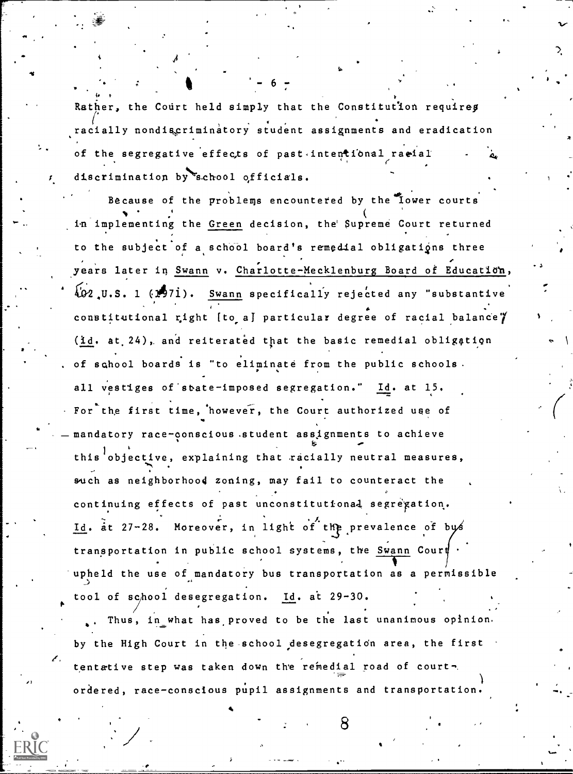Rather, the Court held simply that the Constitution requires racially nondiscriminatory student assignments and eradication of the segregative effects of past intentional racial discrimination by school officials.

 $-6 -$ 

Because of the problems encountered by the lower courts  $\mathbf{v}$  and  $\mathbf{v}$ implementing the <u>Green</u> decision, the Supreme Court returned to the subject of a school board's remedial obligations three years later in Swann v. Charlotte-Mecklenburg Board of Education,  $\sqrt{2}$ , U.S. 1 (1971). Swann specifically rejected any "substantive constitutional right [to a] particular degree of racial balance $\mathscr Y$ (id. at 24), and reiterated that the basic remedial obligation of school boards is "to eliminate from the public schools. all vestiges of state-imposed segregation." Id. at 15. For the first time, 'however, the Court authorized use of mandatory race-conscious.student assignments to achieve this objective, explaining that racially neutral measures, . such as neighborhood zoning, may fail to counteract the continuing effects of past unconstitutional segregation. Id. at 27-28. Moreover, in light of the prevalence of bys transportation in public school systems, the Swann Cour upheld the use of mandatory bus transportation as a permissible tool of school desegregation. Id. at 29-30.

Thus, in what has proved to be the last unanimous opinion. by the High Court in the school desegregation area, the first tentative step was taken down the remedial road of courtordered, race-conscious pupil assignments and transportation

-r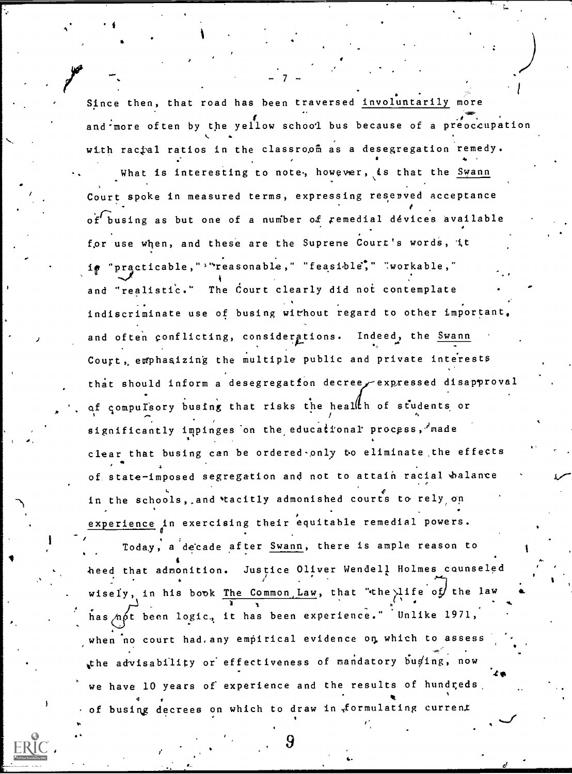Since then, that road has been traversed involuntarily more and more often by the yellow school bus because of a preoccupation 4. with racial ratios in the classroon as a desegregation remedy. What is interesting to note, however, is that the Swann Court spoke in measured terms, expressing resenved acceptance  $o'$ f' busing as but one of a number of remedial dévices available for use when, and these are the Supreme Court's words, it "practicable,"'"reasonable," "feasible," "workable," and "realistic." The Court clearly did not contemplate indiscriminate use of busing without regard to other important, and often conflicting, considerations. Indeed, the Swann Court, emphasizing the multiple public and private interests that should inform a desegregation decree expressed disapproval of compulsory busing that risks the health of students or ts and the second second second second second second second second second second second second second second second second second second second second second second second second second second second second second second s significantly impinges on the educational process,  $\lambda$  made clear that busing can be ordered-only to eliminate the effects of state-imposed segregation and not to attain racial walance in the schools, and tacitly admonished courts to rely on experience in exercising their equitable remedial powers.

- 7 -

Today, a decade after Swann, there is ample reason to tion and the second second heed that admonition. Justice Oliver Wendell Holmes counseled  $\bullet$  . In the contract of the contract of the contract of the contract of the contract of the contract of the contract of the contract of the contract of the contract of the contract of the contract of the contract of the . t wisely, in his book The Common, Law, that "the life of the law has  $n\delta t$  been logic, it has been experience." Unlike 1971, when no court had. any empirical evidence on which to assess the advisability or effectiveness of mandatory buging, now we have 10 years of experience and the results of hundreds, of busing decrees on which to draw in formulating current

'!=INIMMEINNI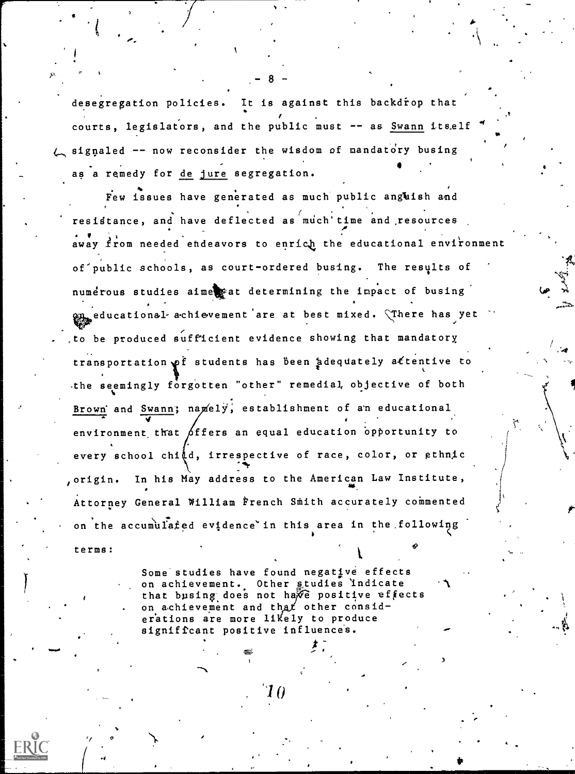desegregation policies. It is against this backdrop that courts, legislators, and the public must -- as Swann itself signaled -- now reconsider the wisdom of mandatory busing as a remedy for de jure segregation.

 $-8 -$ 

t

p"

Few issues have generated as much public angkish and resistance, and have deflected as much time and resources away from needed endeavors to enrich the educational environment of public schools, as court-ordered busing. The results of numerous studies aimestat determining the impact of busing **en** educational-achievement are at best mixed. There has yet to be produced sufficient evidence showing that mandatory transportation of students has been adequately attentive to .the seemingly forgotten "other" remedial, objective of both Brown' and Swann; namely, establishment of an educational  $\sqrt{ }$ environment that  $\beta$ ffers an equal education opportunity to every school chid, irrespective of race, color, or ethnic "lbr origin. In his May address to the American Law Institute, Attorney General William French Smith accurately commented on the accumulated evidence in this area in the following

terms:

4

 $\sigma$  and  $\sigma$ 

Some studies have found negative effects on achievement. Other studies indicate  $\mathcal{N}$ that busing does not have positive effects on achievement and that other considerations are more likely to produce significant positive influences.

10

 $\sim$  New York  $\sim$ 

 $t - 1$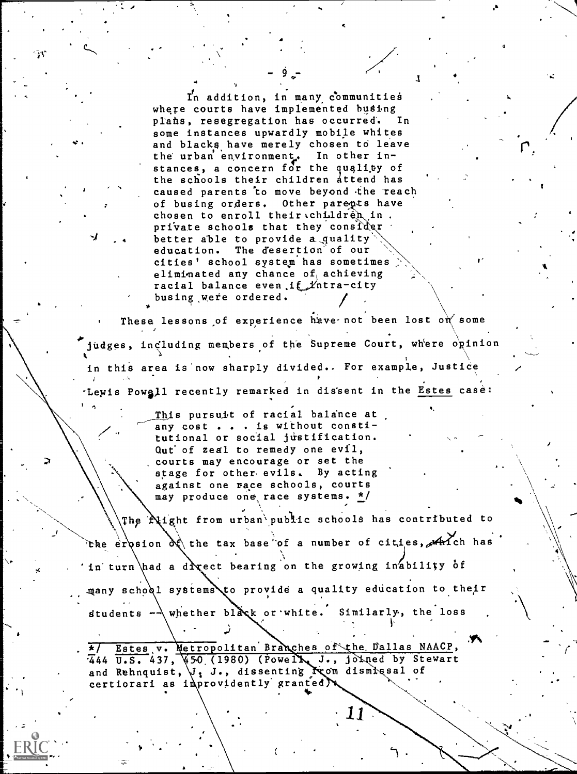In addition, in many communities where courts have implemented busing plans, resegregation has occurred. In some instances upwardly mobile whites and blacks have merely chosen to leave the urban environment. In other instances, a concern for the quality of the schools their children attend has caused parents to move beyond the reach Other parents have of busing orders. chosen to enroll their children in private schools that they consider better able to provide a quality education. The desertion of our cities' school system has sometimes eliminated any chance of achieving racial balance even if Yntra-city busing were ordered.

These lessons of experience have not been lost on some judges, including members of the Supreme Court, where opinion in this area is now sharply divided.. For example, Justice Lewis Powell recently remarked in dissent in the Estes case:

> This pursuit of racial balance at any cost . . . is without constitutional or social justification. Qut of zeal to remedy one evil, courts may encourage or set the stage for other evils. By acting against one race schools, courts may produce one race systems. \*/

The **Night from urban** public schools has contributed to the erosion of the tax base of a number of cities,  $A$  is the hast in turn had a drect bearing on the growing inability of many school systems to provide a quality education to their students  $-\sqrt{$  whether black or white. Similarly, the loss

Estes v. Metropolitan Branches of the Dallas NAACP, 444 U.S. 437, 450 (1980) (Powell, J., joined by Stewart and Rehnquist, V: J., dissenting From dismissal of certiorari as improvidently granted N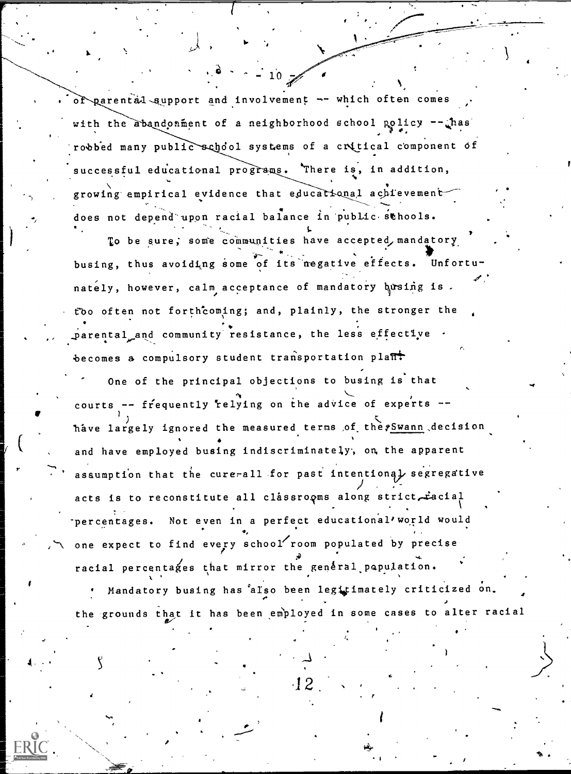of parental support and involvement -- which often comes with the abandonment of a neighborhood school policy  $-\frac{1}{2}$ has robbed many public school systems of a critical component of successful educational programs. There is, in addition, growing empirical evidence that educational achievementdoes not depend upon racial balance in public schools.

 $\sim$  - 10

To be sure; some communities have accepted, mandatory busing, thus avoiding some of its negative effects. Unfortunately, however, calm acceptance of mandatory busing is. rbo often not forthComing; and, plainly, the stronger the parental and community resistance, the less effective becomes a compulsory student transportation plant

One of the principal objections to busing is that courts -- frequently relying on the advice of experts -have largely ignored the measured terms of the Swann decision and have employed busing indiscriminately, on, the apparent assumption that the cure-all for past intentional segregative acts is to reconstitute all classrooms along strict racial -percentages. Not even in a perfect educational/world would one expect to find every school room populated by precise  $\bullet$   $\bullet$ racial percentages that mirror the general population.

Mandatory busing has also been legitimately criticized on. the grounds that it has been employed in some cases to alter racial

 $2$  , which is the  $2$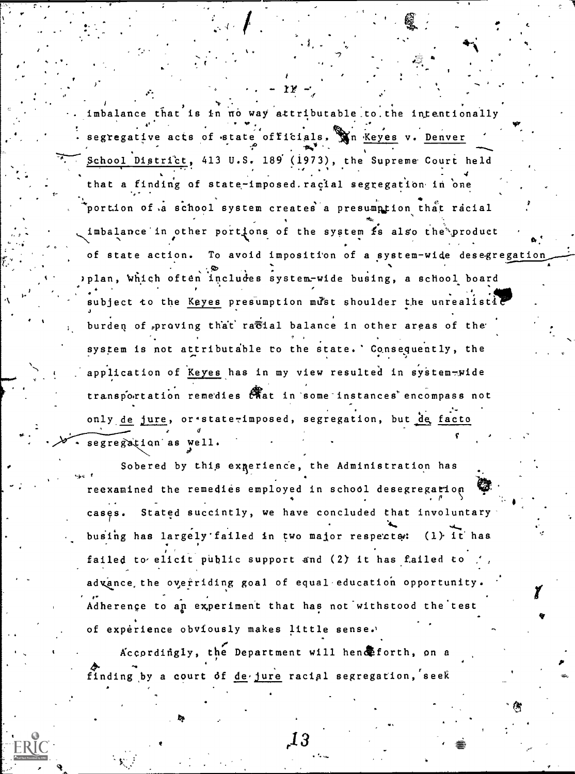imbalance that is in no way attributable to the intentionally segregative acts of state officials. Win Keyes v. Denver School District, 413 U.S. 189 (1973), the Supreme Court held that a finding of state-imposed.racial segregation in one portion of a school system creates a presumption that racial imbalance in other portions of the system is also the product of state action. To avoid imposition of a system-wide desegregation plan, which often includes system-wide busing, a school board ubject to the Keyes presumption must shoulder the unrealistil burden of proving that racial balance in other areas of the system is not attributable to the state. Consequently, the application of Keyes has in my view resulted in system-wide transportation remedies that in some instances encompass not only de jure, or \*state-imposed, segregation, but de facto segregation as well.

Sobered by this experience, the Administration has reexamined the remedies employed in school desegregation Stated succintly, we have concluded that involuntary cases. busing has largely failed in two major respects: (1) it has failed to elicit public support and (2) it has failed to advance the overriding goal of equal education opportunity. Adherence to an experiment that has not withstood the test of experience obviously makes little sense.

Accordingly, the Department will hend forth, on a finding by a court of de jure racial segregation, seek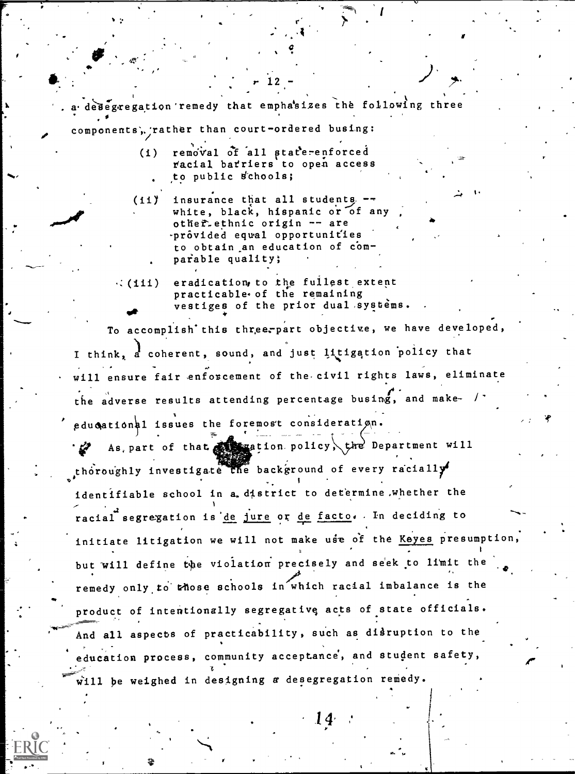a desegregation remedy that emphasizes the following three components, rather than court-ordered busing:

- removal of all state-enforced  $(1)$ racial barriers to open access to public schools;
- insurance that all students -- $(11)$ white, black, hispanic or of any other ethnic origin -- are prôvided equal opportunities to obtain an education of comparable quality;
- eradication, to the fullest extent  $\cdot$  (111) practicable of the remaining vestiges of the prior dual systems.

To accomplish this three-part objective, we have developed, I think, a coherent, sound, and just litigation policy that will ensure fair enforcement of the civil rights laws, eliminate the adverse results attending percentage busing, and make- / educational issues the foremost consideration.

As, part of that  $\mathcal{L}_{\text{max}}$  ion policy, the Department will thoroughly investigate the background of every racially identifiable school in a district to determine whether the racial segregation is de jure or de facto. In deciding to initiate litigation we will not make use of the Keyes presumption, but will define the violation precisely and seek to limit the remedy only to those schools in which racial imbalance is the product of intentionally segregative acts of state officials. And all aspects of practicability, such as disruption to the education process, community acceptance, and student safety, will be weighed in designing a desegregation remedy.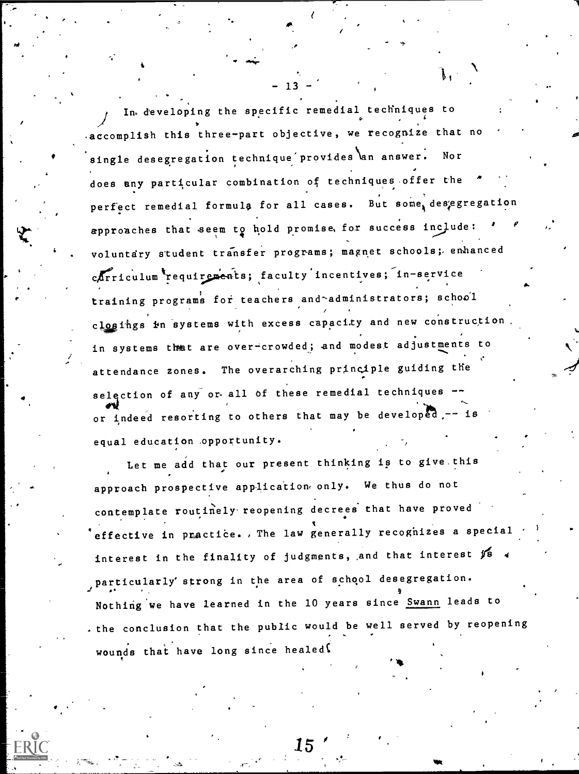In developing the specific remedial techniques to accomplish this three-part objective, we recognize that no single desegregation technique provides an answer. Nor does any particular combination of techniques offer the perfect remedial formula for all cases. But some, desegregation approaches that seem to hold promise, for success include: voluntary student transfer programs; magnet schools; enhanced carriculum requirements; faculty incentives; in-service training programs for teachers and administrators; school closings in systems with excess capacity and new construction in systems that are over-crowded; and modest adjustments to attendance zones. The overarching principle guiding the selection of any or all of these remedial techniques or indeed resorting to others that may be developed,-- is equal education opportunity.

Let me add that our present thinking is to give this approach prospective application only. We thus do not contemplate routinely reopening decrees that have proved effective in practice., The law generally recognizes a special interest in the finality of judgments, and that interest is a particularly strong in the area of school desegregation. Nothing we have learned in the 10 years since Swann leads to the conclusion that the public would be well served by reopening wounds that have long since healed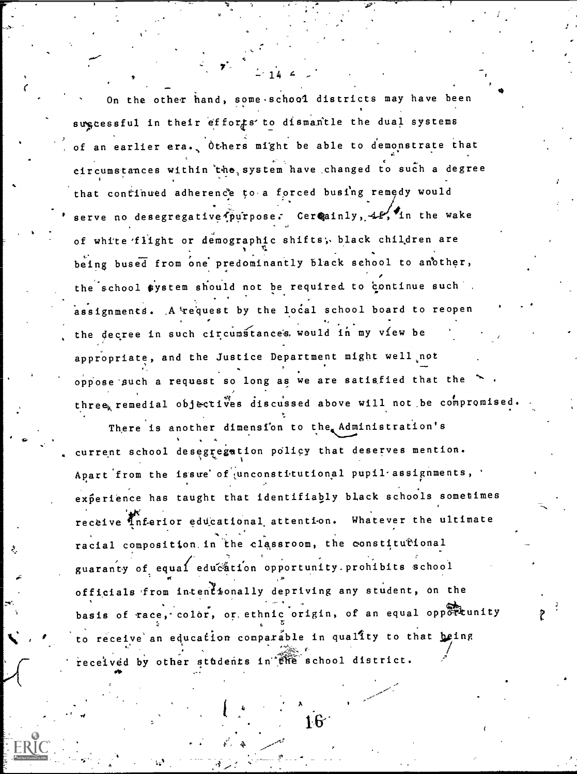On the other hand, some school districts may have been sugcessful in their efforts to dismantle the dual systems of an earlier era. Others might be able to demonstrate that circumstances within the system have changed to such a degree that continued adherence to a forced busing remedy would serve no desegregative purpose. Cereainly, 42, in the wake of white flight or demographic shifts; black children are being bused from one predominantly black school to another, the school system should not be required to continue such assignments. A request by the local school board to reopen the decree in such circumstances, would in my view be appropriate, and the Justice Department might well not oppose such a request so long as we are satisfied that the three, remedial objectives discussed above will not be compromised.

There is another dimension to the Administration's current school desegregation policy that deserves mention. Apart from the issue of unconstitutional pupil assignments, experience has taught that identifiably black schools sometimes receive Inferior educational attention. Whatever the ultimate racial composition in the classroom, the constitutional guaranty of equal education opportunity prohibits school officials from intentionally depriving any student, on the basis of race, color, or ethnic origin, of an equal opportunity to receive an education comparable in quality to that being received by other students in the school district.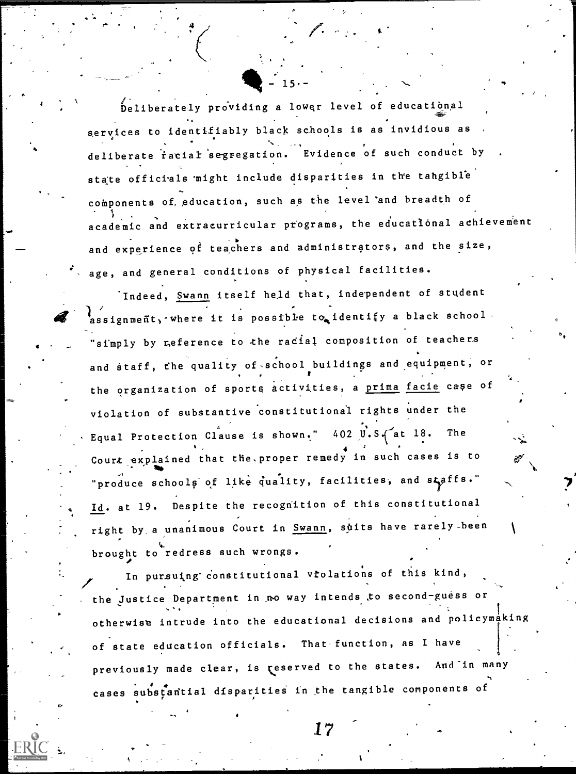Deliberately providing a lower level of educatibnal services to identifiably black schools is as invidious as deliberate racial segregation. Evidence of such conduct by. state officials might include disparities in the tangible components of. education, such as the level 'and breadth of academic and extracurricular programs, the educational achievement and experience of teachers and administrators, and the size, age, and general conditions of physical facilities.

 $\frac{1}{2}$  - 15,-

Indeed, Swann itself held that, independent of student issignment, where it is possible to identify a black school  $\cdot$ "simply by reference to the racial composition of teachers and staff, the quality of school buildings and equipment, or the organization of sports activities, a prima facie case of violation of substantive constitutional rights under the Equal Protection Clause is shown."  $402 \text{ y}$ . S.  $\sim$  at 18. The  $\mathbf{V}$ Court explained that the proper remedy in such cases is to  $\mathscr{B}$ 1111**1** "produce schools of like quality, facilities, and staffs." Id. at 19. Despite the recognition of this constitutional right by a unanimous Court in Swann, suits have rarely-been brought to redress such wrongs.

In pursuing constitutional vrolations of this kind, the Justice Department in ,no way intends to second-guess or otherwise intrude into the educational decisions and policymaking of state education officials. That function, as I have previously made clear, is reserved to the states. And in many cases substantial disparities in the tangible components of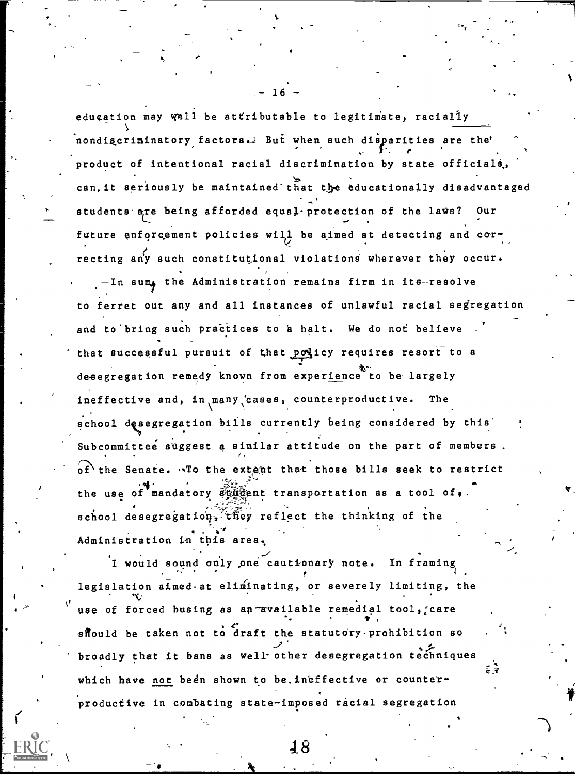education may well be attributable to legitimate, racially nondig criminatory factors. But when such disparities are the' e product of intentional racial discrimination by state officials., can. it seriously be maintained that the educationally disadvantaged .4k students are being afforded equal-protection of the laws? Our future enforcement policies will be aimed at detecting and correcting any such constitutional violations wherever they occur. -In sum, the Administration remains firm in its-resolve to ferret out any and all instances of unlawful racial segregation and to bring such practices to a halt. We do not believe that successful pursuit of that policy requires resort to a desegregation remedy known from experience to be largely ineffective and, in many cases, counterproductive. The school desegregation bills currently being considered by this Subcommittee suggest a similar attitude on the part of members.  $\sigma$ f the Senate. To the extent that those bills seek to restrict the use of mandatory student transportation as a tool of,. school desegregation, they reflect the thinking of the Administration in this area,

I would sound only \_one cautionary note. In framing  $p$  . The contract of the contract of the contract of the contract of the contract of the contract of the contract of the contract of the contract of the contract of the contract of the contract of the contract of the con legislation atmed at eliminating, or severely limiting, the use of forced busing as an available remedial tool, care should be taken not to draft the statutory prohibition so broadly that it bans as well other desegregation techniques which have not been shown to be. ineffective or counterproductive in combating state-imposed racial segregation

 $- 16 -$ 

 $\mathcal{F}_{\mathbf{c}}$  . The set of  $\mathcal{F}_{\mathbf{c}}$ 

 $\tilde{\phantom{a}}$ 

48

 $\mathbf{r}$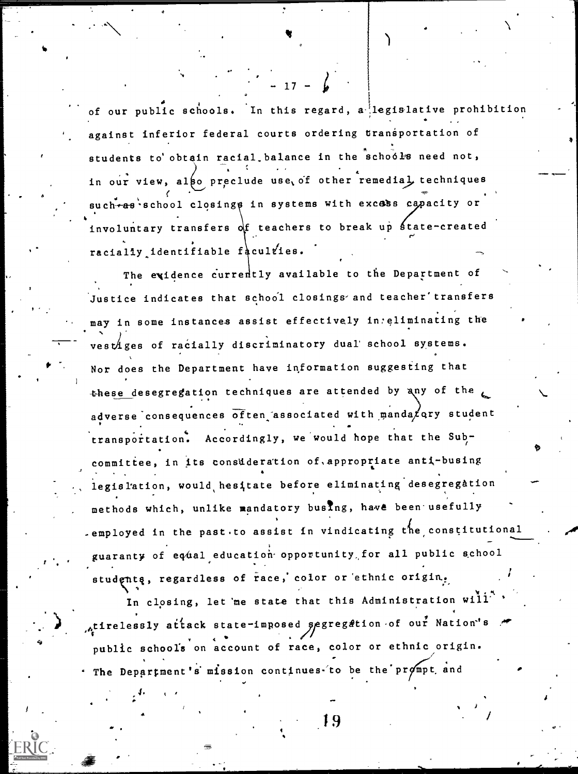of our public schools. In this regard, a legislative prohibition  $\cdot$ against inferior federal courts ordering transportation of students to obtain racial balance in the schools need not, in our view, also preclude use, of other remedial techniques such-as school closings in systems with excess capacity or involuntary transfers  $\delta$  teachers to break up state-created racially identifiable faculties.

 $- 17 - 4$ 

The exidence currently available to the Department of Justice indicates that school closings and teacher' transfers may in some instances assist effectively in eliminating the ) vestiges of racially discriminatory dual' school systems. Nor does the Department have information suggesting that these desegregation techniques are attended by any of the  $L$ adverse consequences often associated with manda  $\chi$  ary student transportation. Accordingly, we would hope that the Sub-/ committee, in its consdderation of.appropriate anti-busing legislation, would hesitate before eliminating desegregation methods which, unlike mandatory busing, have been usefully -employed in the past.to assist in vindicating the constitutional guaranty of equal education opportunity for all public school studentą, regardless of race, color or ethnic origin. S

In closing, let me state that this Administration will , tirelessly attack state-imposed  $g$ egregation of our Nation's public schools on account of race, color or ethnic origin.  $-$  The Department's mission continues to be the prompt and